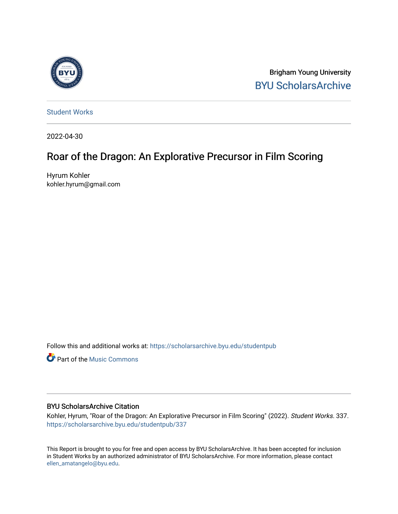

Brigham Young University [BYU ScholarsArchive](https://scholarsarchive.byu.edu/) 

[Student Works](https://scholarsarchive.byu.edu/studentpub)

2022-04-30

# Roar of the Dragon: An Explorative Precursor in Film Scoring

Hyrum Kohler kohler.hyrum@gmail.com

Follow this and additional works at: [https://scholarsarchive.byu.edu/studentpub](https://scholarsarchive.byu.edu/studentpub?utm_source=scholarsarchive.byu.edu%2Fstudentpub%2F337&utm_medium=PDF&utm_campaign=PDFCoverPages)

**P** Part of the Music Commons

#### BYU ScholarsArchive Citation

Kohler, Hyrum, "Roar of the Dragon: An Explorative Precursor in Film Scoring" (2022). Student Works. 337. [https://scholarsarchive.byu.edu/studentpub/337](https://scholarsarchive.byu.edu/studentpub/337?utm_source=scholarsarchive.byu.edu%2Fstudentpub%2F337&utm_medium=PDF&utm_campaign=PDFCoverPages)

This Report is brought to you for free and open access by BYU ScholarsArchive. It has been accepted for inclusion in Student Works by an authorized administrator of BYU ScholarsArchive. For more information, please contact [ellen\\_amatangelo@byu.edu](mailto:ellen_amatangelo@byu.edu).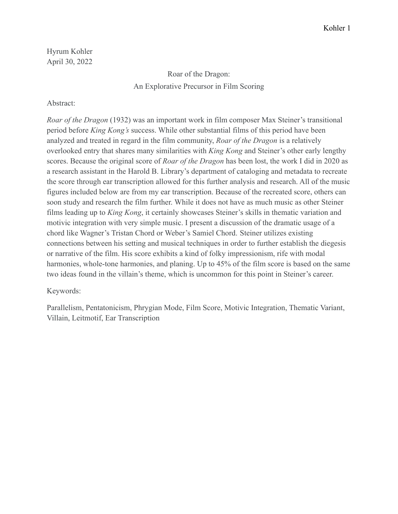Hyrum Kohler April 30, 2022

## Roar of the Dragon: An Explorative Precursor in Film Scoring

## Abstract:

*Roar of the Dragon* (1932) was an important work in film composer Max Steiner's transitional period before *King Kong's* success. While other substantial films of this period have been analyzed and treated in regard in the film community, *Roar of the Dragon* is a relatively overlooked entry that shares many similarities with *King Kong* and Steiner's other early lengthy scores. Because the original score of *Roar of the Dragon* has been lost, the work I did in 2020 as a research assistant in the Harold B. Library's department of cataloging and metadata to recreate the score through ear transcription allowed for this further analysis and research. All of the music figures included below are from my ear transcription. Because of the recreated score, others can soon study and research the film further. While it does not have as much music as other Steiner films leading up to *King Kong*, it certainly showcases Steiner's skills in thematic variation and motivic integration with very simple music. I present a discussion of the dramatic usage of a chord like Wagner's Tristan Chord or Weber's Samiel Chord. Steiner utilizes existing connections between his setting and musical techniques in order to further establish the diegesis or narrative of the film. His score exhibits a kind of folky impressionism, rife with modal harmonies, whole-tone harmonies, and planing. Up to 45% of the film score is based on the same two ideas found in the villain's theme, which is uncommon for this point in Steiner's career.

Keywords:

Parallelism, Pentatonicism, Phrygian Mode, Film Score, Motivic Integration, Thematic Variant, Villain, Leitmotif, Ear Transcription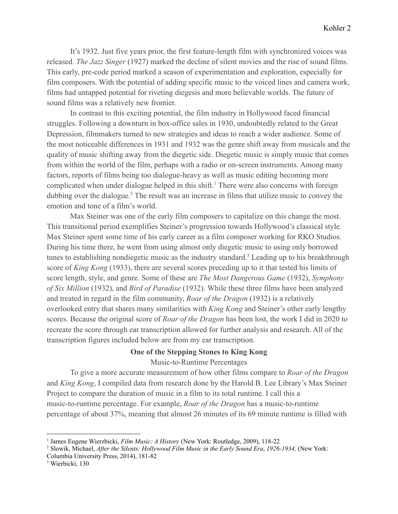It's 1932. Just five years prior, the first feature-length film with synchronized voices was released. *The Jazz Singer* (1927) marked the decline of silent movies and the rise of sound films. This early, pre-code period marked a season of experimentation and exploration, especially for film composers. With the potential of adding specific music to the voiced lines and camera work, films had untapped potential for riveting diegesis and more believable worlds. The future of sound films was a relatively new frontier.

In contrast to this exciting potential, the film industry in Hollywood faced financial struggles. Following a downturn in box-office sales in 1930, undoubtedly related to the Great Depression, filmmakers turned to new strategies and ideas to reach a wider audience. Some of the most noticeable differences in 1931 and 1932 was the genre shift away from musicals and the quality of music shifting away from the diegetic side. Diegetic music is simply music that comes from within the world of the film, perhaps with a radio or on-screen instruments. Among many factors, reports of films being too dialogue-heavy as well as music editing becoming more complicated when under dialogue helped in this shift.<sup>1</sup> There were also concerns with foreign dubbing over the dialogue.<sup>2</sup> The result was an increase in films that utilize music to convey the emotion and tone of a film's world.

Max Steiner was one of the early film composers to capitalize on this change the most. This transitional period exemplifies Steiner's progression towards Hollywood's classical style. Max Steiner spent some time of his early career as a film composer working for RKO Studios. During his time there, he went from using almost only diegetic music to using only borrowed tunes to establishing nondiegetic music as the industry standard.<sup>3</sup> Leading up to his breakthrough score of *King Kong* (1933), there are several scores preceding up to it that tested his limits of score length, style, and genre. Some of these are *The Most Dangerous Game* (1932), *Symphony of Six Million* (1932), and *Bird of Paradise* (1932). While these three films have been analyzed and treated in regard in the film community, *Roar of the Dragon* (1932) is a relatively overlooked entry that shares many similarities with *King Kong* and Steiner's other early lengthy scores. Because the original score of *Roar of the Dragon* has been lost, the work I did in 2020 to recreate the score through ear transcription allowed for further analysis and research. All of the transcription figures included below are from my ear transcription.

## **One of the Stepping Stones to King Kong**

Music-to-Runtime Percentages

To give a more accurate measurement of how other films compare to *Roar of the Dragon* and *King Kong*, I compiled data from research done by the Harold B. Lee Library's Max Steiner Project to compare the duration of music in a film to its total runtime. I call this a music-to-runtime percentage. For example, *Roar of the Dragon* has a music-to-runtime percentage of about 37%, meaning that almost 26 minutes of its 69 minute runtime is filled with

Columbia University Press, 2014), 181-82

<sup>1</sup> James Eugene Wierzbicki, *Film Music: A History* (New York: Routledge, 2009), 118-22

<sup>2</sup> Slowik, Michael, *After the Silents: Hollywood Film Music in the Early Sound Era*, *1926-1934,* (New York:

<sup>&</sup>lt;sup>3</sup> Wierbicki, 130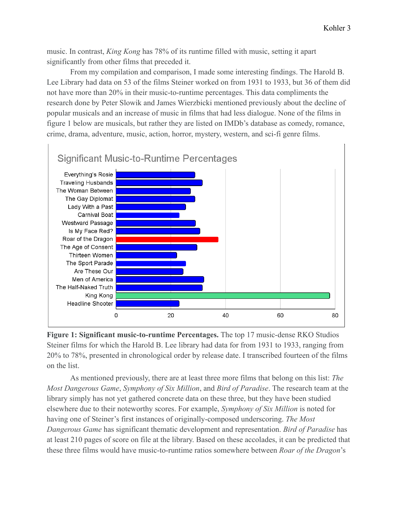music. In contrast, *King Kong* has 78% of its runtime filled with music, setting it apart significantly from other films that preceded it.

From my compilation and comparison, I made some interesting findings. The Harold B. Lee Library had data on 53 of the films Steiner worked on from 1931 to 1933, but 36 of them did not have more than 20% in their music-to-runtime percentages. This data compliments the research done by Peter Slowik and James Wierzbicki mentioned previously about the decline of popular musicals and an increase of music in films that had less dialogue. None of the films in figure 1 below are musicals, but rather they are listed on IMDb's database as comedy, romance, crime, drama, adventure, music, action, horror, mystery, western, and sci-fi genre films.



**Figure 1: Significant music-to-runtime Percentages.** The top 17 music-dense RKO Studios Steiner films for which the Harold B. Lee library had data for from 1931 to 1933, ranging from 20% to 78%, presented in chronological order by release date. I transcribed fourteen of the films on the list.

As mentioned previously, there are at least three more films that belong on this list: *The Most Dangerous Game*, *Symphony of Six Million*, and *Bird of Paradise*. The research team at the library simply has not yet gathered concrete data on these three, but they have been studied elsewhere due to their noteworthy scores. For example, *Symphony of Six Million* is noted for having one of Steiner's first instances of originally-composed underscoring. *The Most Dangerous Game* has significant thematic development and representation. *Bird of Paradise* has at least 210 pages of score on file at the library. Based on these accolades, it can be predicted that these three films would have music-to-runtime ratios somewhere between *Roar of the Dragon*'s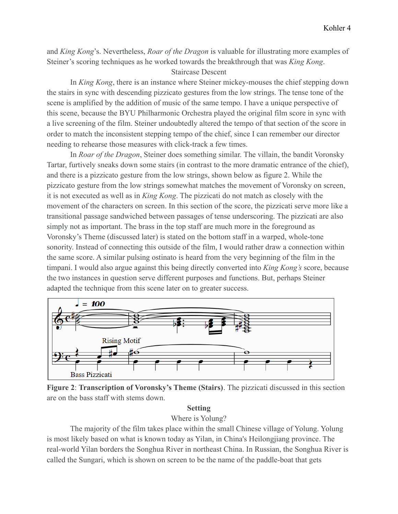and *King Kong*'s. Nevertheless, *Roar of the Dragon* is valuable for illustrating more examples of Steiner's scoring techniques as he worked towards the breakthrough that was *King Kong*.

## Staircase Descent

In *King Kong*, there is an instance where Steiner mickey-mouses the chief stepping down the stairs in sync with descending pizzicato gestures from the low strings. The tense tone of the scene is amplified by the addition of music of the same tempo. I have a unique perspective of this scene, because the BYU Philharmonic Orchestra played the original film score in sync with a live screening of the film. Steiner undoubtedly altered the tempo of that section of the score in order to match the inconsistent stepping tempo of the chief, since I can remember our director needing to rehearse those measures with click-track a few times.

In *Roar of the Dragon*, Steiner does something similar. The villain, the bandit Voronsky Tartar, furtively sneaks down some stairs (in contrast to the more dramatic entrance of the chief), and there is a pizzicato gesture from the low strings, shown below as figure 2. While the pizzicato gesture from the low strings somewhat matches the movement of Voronsky on screen, it is not executed as well as in *King Kong*. The pizzicati do not match as closely with the movement of the characters on screen. In this section of the score, the pizzicati serve more like a transitional passage sandwiched between passages of tense underscoring. The pizzicati are also simply not as important. The brass in the top staff are much more in the foreground as Voronsky's Theme (discussed later) is stated on the bottom staff in a warped, whole-tone sonority. Instead of connecting this outside of the film, I would rather draw a connection within the same score. A similar pulsing ostinato is heard from the very beginning of the film in the timpani. I would also argue against this being directly converted into *King Kong's* score, because the two instances in question serve different purposes and functions. But, perhaps Steiner adapted the technique from this scene later on to greater success.



**Figure 2**: **Transcription of Voronsky's Theme (Stairs)**. The pizzicati discussed in this section are on the bass staff with stems down.

## **Setting**

Where is Yolung?

The majority of the film takes place within the small Chinese village of Yolung. Yolung is most likely based on what is known today as Yilan, in China's Heilongjiang province. The real-world Yilan borders the Songhua River in northeast China. In Russian, the Songhua River is called the Sungari, which is shown on screen to be the name of the paddle-boat that gets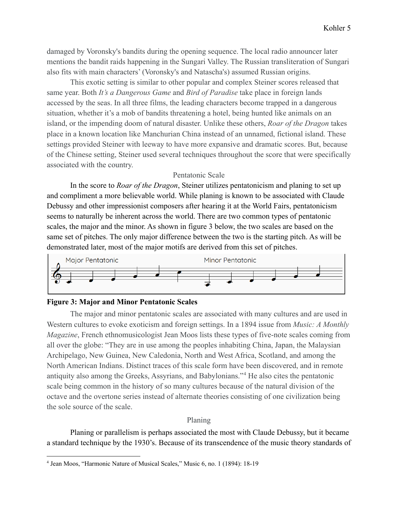damaged by Voronsky's bandits during the opening sequence. The local radio announcer later mentions the bandit raids happening in the Sungari Valley. The Russian transliteration of Sungari also fits with main characters' (Voronsky's and Natascha's) assumed Russian origins.

This exotic setting is similar to other popular and complex Steiner scores released that same year. Both *It's a Dangerous Game* and *Bird of Paradise* take place in foreign lands accessed by the seas. In all three films, the leading characters become trapped in a dangerous situation, whether it's a mob of bandits threatening a hotel, being hunted like animals on an island, or the impending doom of natural disaster. Unlike these others, *Roar of the Dragon* takes place in a known location like Manchurian China instead of an unnamed, fictional island. These settings provided Steiner with leeway to have more expansive and dramatic scores. But, because of the Chinese setting, Steiner used several techniques throughout the score that were specifically associated with the country.

## Pentatonic Scale

In the score to *Roar of the Dragon*, Steiner utilizes pentatonicism and planing to set up and compliment a more believable world. While planing is known to be associated with Claude Debussy and other impressionist composers after hearing it at the World Fairs, pentatonicism seems to naturally be inherent across the world. There are two common types of pentatonic scales, the major and the minor. As shown in figure 3 below, the two scales are based on the same set of pitches. The only major difference between the two is the starting pitch. As will be demonstrated later, most of the major motifs are derived from this set of pitches.



#### **Figure 3: Major and Minor Pentatonic Scales**

The major and minor pentatonic scales are associated with many cultures and are used in Western cultures to evoke exoticism and foreign settings. In a 1894 issue from *Music: A Monthly Magazine*, French ethnomusicologist Jean Moos lists these types of five-note scales coming from all over the globe: "They are in use among the peoples inhabiting China, Japan, the Malaysian Archipelago, New Guinea, New Caledonia, North and West Africa, Scotland, and among the North American Indians. Distinct traces of this scale form have been discovered, and in remote antiquity also among the Greeks, Assyrians, and Babylonians."<sup>4</sup> He also cites the pentatonic scale being common in the history of so many cultures because of the natural division of the octave and the overtone series instead of alternate theories consisting of one civilization being the sole source of the scale.

#### Planing

Planing or parallelism is perhaps associated the most with Claude Debussy, but it became a standard technique by the 1930's. Because of its transcendence of the music theory standards of

<sup>4</sup> Jean Moos, "Harmonic Nature of Musical Scales," Music 6, no. 1 (1894): 18-19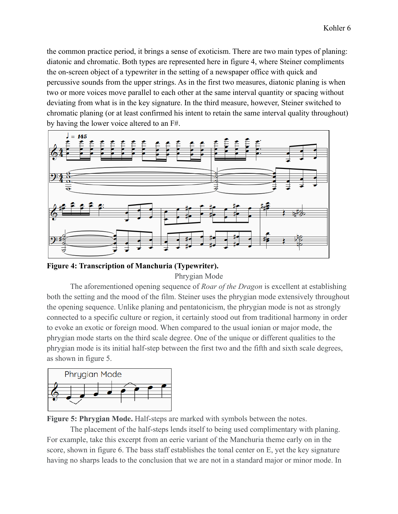the common practice period, it brings a sense of exoticism. There are two main types of planing: diatonic and chromatic. Both types are represented here in figure 4, where Steiner compliments the on-screen object of a typewriter in the setting of a newspaper office with quick and percussive sounds from the upper strings. As in the first two measures, diatonic planing is when two or more voices move parallel to each other at the same interval quantity or spacing without deviating from what is in the key signature. In the third measure, however, Steiner switched to chromatic planing (or at least confirmed his intent to retain the same interval quality throughout) by having the lower voice altered to an F#.



**Figure 4: Transcription of Manchuria (Typewriter).**

Phrygian Mode

The aforementioned opening sequence of *Roar of the Dragon* is excellent at establishing both the setting and the mood of the film. Steiner uses the phrygian mode extensively throughout the opening sequence. Unlike planing and pentatonicism, the phrygian mode is not as strongly connected to a specific culture or region, it certainly stood out from traditional harmony in order to evoke an exotic or foreign mood. When compared to the usual ionian or major mode, the phrygian mode starts on the third scale degree. One of the unique or different qualities to the phrygian mode is its initial half-step between the first two and the fifth and sixth scale degrees, as shown in figure 5.



**Figure 5: Phrygian Mode.** Half-steps are marked with symbols between the notes.

The placement of the half-steps lends itself to being used complimentary with planing. For example, take this excerpt from an eerie variant of the Manchuria theme early on in the score, shown in figure 6. The bass staff establishes the tonal center on E, yet the key signature having no sharps leads to the conclusion that we are not in a standard major or minor mode. In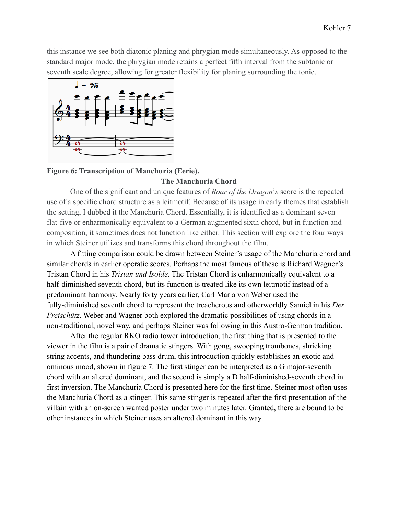this instance we see both diatonic planing and phrygian mode simultaneously. As opposed to the standard major mode, the phrygian mode retains a perfect fifth interval from the subtonic or seventh scale degree, allowing for greater flexibility for planing surrounding the tonic.



## **Figure 6: Transcription of Manchuria (Eerie).**

### **The Manchuria Chord**

One of the significant and unique features of *Roar of the Dragon*'*s* score is the repeated use of a specific chord structure as a leitmotif. Because of its usage in early themes that establish the setting, I dubbed it the Manchuria Chord. Essentially, it is identified as a dominant seven flat-five or enharmonically equivalent to a German augmented sixth chord, but in function and composition, it sometimes does not function like either. This section will explore the four ways in which Steiner utilizes and transforms this chord throughout the film.

A fitting comparison could be drawn between Steiner's usage of the Manchuria chord and similar chords in earlier operatic scores. Perhaps the most famous of these is Richard Wagner's Tristan Chord in his *Tristan und Isolde*. The Tristan Chord is enharmonically equivalent to a half-diminished seventh chord, but its function is treated like its own leitmotif instead of a predominant harmony. Nearly forty years earlier, Carl Maria von Weber used the fully-diminished seventh chord to represent the treacherous and otherworldly Samiel in his *Der Freischütz*. Weber and Wagner both explored the dramatic possibilities of using chords in a non-traditional, novel way, and perhaps Steiner was following in this Austro-German tradition.

After the regular RKO radio tower introduction, the first thing that is presented to the viewer in the film is a pair of dramatic stingers. With gong, swooping trombones, shrieking string accents, and thundering bass drum, this introduction quickly establishes an exotic and ominous mood, shown in figure 7. The first stinger can be interpreted as a G major-seventh chord with an altered dominant, and the second is simply a D half-diminished-seventh chord in first inversion. The Manchuria Chord is presented here for the first time. Steiner most often uses the Manchuria Chord as a stinger. This same stinger is repeated after the first presentation of the villain with an on-screen wanted poster under two minutes later. Granted, there are bound to be other instances in which Steiner uses an altered dominant in this way.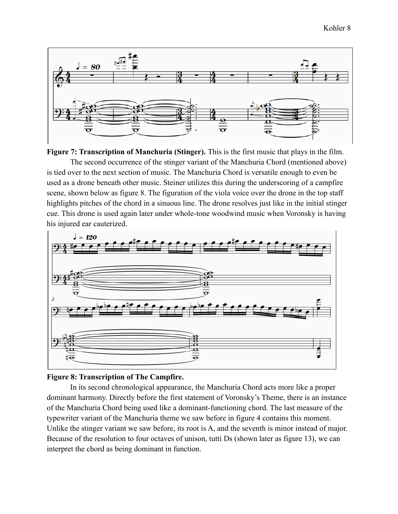

**Figure 7: Transcription of Manchuria (Stinger).** This is the first music that plays in the film. The second occurrence of the stinger variant of the Manchuria Chord (mentioned above) is tied over to the next section of music. The Manchuria Chord is versatile enough to even be used as a drone beneath other music. Steiner utilizes this during the underscoring of a campfire scene, shown below as figure 8. The figuration of the viola voice over the drone in the top staff highlights pitches of the chord in a sinuous line. The drone resolves just like in the initial stinger cue. This drone is used again later under whole-tone woodwind music when Voronsky is having his injured ear cauterized.



## **Figure 8: Transcription of The Campfire.**

In its second chronological appearance, the Manchuria Chord acts more like a proper dominant harmony. Directly before the first statement of Voronsky's Theme, there is an instance of the Manchuria Chord being used like a dominant-functioning chord. The last measure of the typewriter variant of the Manchuria theme we saw before in figure 4 contains this moment. Unlike the stinger variant we saw before, its root is A, and the seventh is minor instead of major. Because of the resolution to four octaves of unison, tutti Ds (shown later as figure 13), we can interpret the chord as being dominant in function.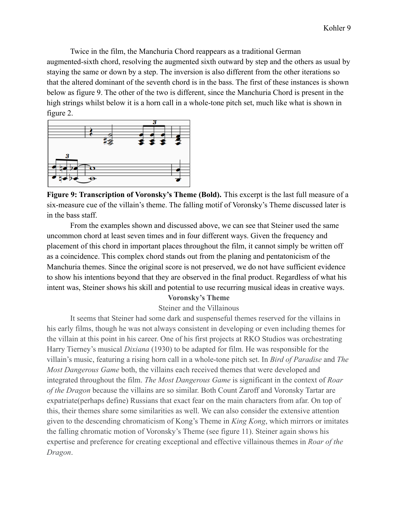Twice in the film, the Manchuria Chord reappears as a traditional German augmented-sixth chord, resolving the augmented sixth outward by step and the others as usual by staying the same or down by a step. The inversion is also different from the other iterations so that the altered dominant of the seventh chord is in the bass. The first of these instances is shown below as figure 9. The other of the two is different, since the Manchuria Chord is present in the high strings whilst below it is a horn call in a whole-tone pitch set, much like what is shown in figure 2.



**Figure 9: Transcription of Voronsky's Theme (Bold).** This excerpt is the last full measure of a six-measure cue of the villain's theme. The falling motif of Voronsky's Theme discussed later is in the bass staff.

From the examples shown and discussed above, we can see that Steiner used the same uncommon chord at least seven times and in four different ways. Given the frequency and placement of this chord in important places throughout the film, it cannot simply be written off as a coincidence. This complex chord stands out from the planing and pentatonicism of the Manchuria themes. Since the original score is not preserved, we do not have sufficient evidence to show his intentions beyond that they are observed in the final product. Regardless of what his intent was, Steiner shows his skill and potential to use recurring musical ideas in creative ways.

## **Voronsky's Theme**

#### Steiner and the Villainous

It seems that Steiner had some dark and suspenseful themes reserved for the villains in his early films, though he was not always consistent in developing or even including themes for the villain at this point in his career. One of his first projects at RKO Studios was orchestrating Harry Tierney's musical *Dixiana* (1930) to be adapted for film. He was responsible for the villain's music, featuring a rising horn call in a whole-tone pitch set. In *Bird of Paradise* and *The Most Dangerous Game* both, the villains each received themes that were developed and integrated throughout the film. *The Most Dangerous Game* is significant in the context of *Roar of the Dragon* because the villains are so similar. Both Count Zaroff and Voronsky Tartar are expatriate(perhaps define) Russians that exact fear on the main characters from afar. On top of this, their themes share some similarities as well. We can also consider the extensive attention given to the descending chromaticism of Kong's Theme in *King Kong*, which mirrors or imitates the falling chromatic motion of Voronsky's Theme (see figure 11). Steiner again shows his expertise and preference for creating exceptional and effective villainous themes in *Roar of the Dragon*.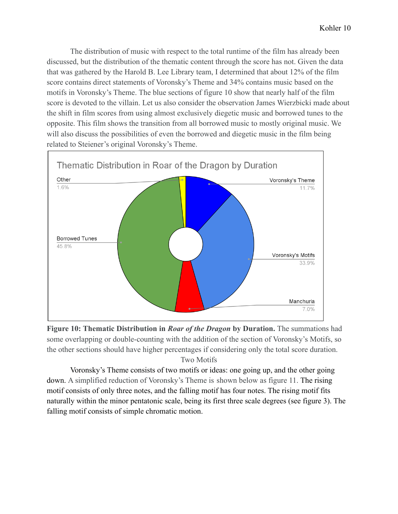The distribution of music with respect to the total runtime of the film has already been discussed, but the distribution of the thematic content through the score has not. Given the data that was gathered by the Harold B. Lee Library team, I determined that about 12% of the film score contains direct statements of Voronsky's Theme and 34% contains music based on the motifs in Voronsky's Theme. The blue sections of figure 10 show that nearly half of the film score is devoted to the villain. Let us also consider the observation James Wierzbicki made about the shift in film scores from using almost exclusively diegetic music and borrowed tunes to the opposite. This film shows the transition from all borrowed music to mostly original music. We will also discuss the possibilities of even the borrowed and diegetic music in the film being related to Steiener's original Voronsky's Theme.



**Figure 10: Thematic Distribution in** *Roar of the Dragon* **by Duration.** The summations had some overlapping or double-counting with the addition of the section of Voronsky's Motifs, so the other sections should have higher percentages if considering only the total score duration. Two Motifs

Voronsky's Theme consists of two motifs or ideas: one going up, and the other going down. A simplified reduction of Voronsky's Theme is shown below as figure 11. The rising motif consists of only three notes, and the falling motif has four notes. The rising motif fits naturally within the minor pentatonic scale, being its first three scale degrees (see figure 3). The falling motif consists of simple chromatic motion.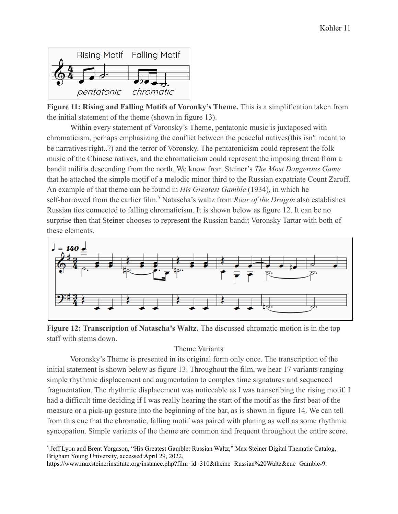

**Figure 11: Rising and Falling Motifs of Voronky's Theme.** This is a simplification taken from the initial statement of the theme (shown in figure 13).

Within every statement of Voronsky's Theme, pentatonic music is juxtaposed with chromaticism, perhaps emphasizing the conflict between the peaceful natives(this isn't meant to be narratives right..?) and the terror of Voronsky. The pentatonicism could represent the folk music of the Chinese natives, and the chromaticism could represent the imposing threat from a bandit militia descending from the north. We know from Steiner's *The Most Dangerous Game* that he attached the simple motif of a melodic minor third to the Russian expatriate Count Zaroff. An example of that theme can be found in *His Greatest Gamble* (1934), in which he self-borrowed from the earlier film.<sup>5</sup> Natascha's waltz from *Roar of the Dragon* also establishes Russian ties connected to falling chromaticism. It is shown below as figure 12. It can be no surprise then that Steiner chooses to represent the Russian bandit Voronsky Tartar with both of these elements.



**Figure 12: Transcription of Natascha's Waltz.** The discussed chromatic motion is in the top staff with stems down.

## Theme Variants

Voronsky's Theme is presented in its original form only once. The transcription of the initial statement is shown below as figure 13. Throughout the film, we hear 17 variants ranging simple rhythmic displacement and augmentation to complex time signatures and sequenced fragmentation. The rhythmic displacement was noticeable as I was transcribing the rising motif. I had a difficult time deciding if I was really hearing the start of the motif as the first beat of the measure or a pick-up gesture into the beginning of the bar, as is shown in figure 14. We can tell from this cue that the chromatic, falling motif was paired with planing as well as some rhythmic syncopation. Simple variants of the theme are common and frequent throughout the entire score.

https://www.maxsteinerinstitute.org/instance.php?film\_id=310&theme=Russian%20Waltz&cue=Gamble-9.

<sup>5</sup> Jeff Lyon and Brent Yorgason, "His Greatest Gamble: Russian Waltz," Max Steiner Digital Thematic Catalog, Brigham Young University, accessed April 29, 2022,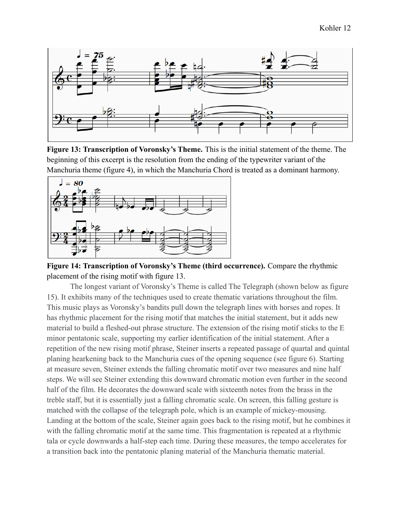

**Figure 13: Transcription of Voronsky's Theme.** This is the initial statement of the theme. The beginning of this excerpt is the resolution from the ending of the typewriter variant of the Manchuria theme (figure 4), in which the Manchuria Chord is treated as a dominant harmony.



**Figure 14: Transcription of Voronsky's Theme (third occurrence).** Compare the rhythmic placement of the rising motif with figure 13.

The longest variant of Voronsky's Theme is called The Telegraph (shown below as figure 15). It exhibits many of the techniques used to create thematic variations throughout the film. This music plays as Voronsky's bandits pull down the telegraph lines with horses and ropes. It has rhythmic placement for the rising motif that matches the initial statement, but it adds new material to build a fleshed-out phrase structure. The extension of the rising motif sticks to the E minor pentatonic scale, supporting my earlier identification of the initial statement. After a repetition of the new rising motif phrase, Steiner inserts a repeated passage of quartal and quintal planing hearkening back to the Manchuria cues of the opening sequence (see figure 6). Starting at measure seven, Steiner extends the falling chromatic motif over two measures and nine half steps. We will see Steiner extending this downward chromatic motion even further in the second half of the film. He decorates the downward scale with sixteenth notes from the brass in the treble staff, but it is essentially just a falling chromatic scale. On screen, this falling gesture is matched with the collapse of the telegraph pole, which is an example of mickey-mousing. Landing at the bottom of the scale, Steiner again goes back to the rising motif, but he combines it with the falling chromatic motif at the same time. This fragmentation is repeated at a rhythmic tala or cycle downwards a half-step each time. During these measures, the tempo accelerates for a transition back into the pentatonic planing material of the Manchuria thematic material.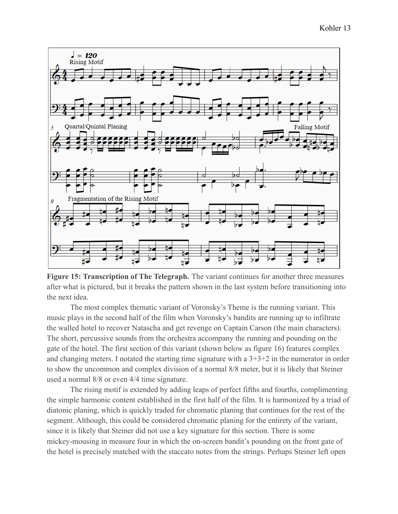

**Figure 15: Transcription of The Telegraph.** The variant continues for another three measures after what is pictured, but it breaks the pattern shown in the last system before transitioning into the next idea.

The most complex thematic variant of Voronsky's Theme is the running variant. This music plays in the second half of the film when Voronsky's bandits are running up to infiltrate the walled hotel to recover Natascha and get revenge on Captain Carson (the main characters). The short, percussive sounds from the orchestra accompany the running and pounding on the gate of the hotel. The first section of this variant (shown below as figure 16) features complex and changing meters. I notated the starting time signature with a 3+3+2 in the numerator in order to show the uncommon and complex division of a normal 8/8 meter, but it is likely that Steiner used a normal 8/8 or even 4/4 time signature.

The rising motif is extended by adding leaps of perfect fifths and fourths, complimenting the simple harmonic content established in the first half of the film. It is harmonized by a triad of diatonic planing, which is quickly traded for chromatic planing that continues for the rest of the segment. Although, this could be considered chromatic planing for the entirety of the variant, since it is likely that Steiner did not use a key signature for this section. There is some mickey-mousing in measure four in which the on-screen bandit's pounding on the front gate of the hotel is precisely matched with the staccato notes from the strings. Perhaps Steiner left open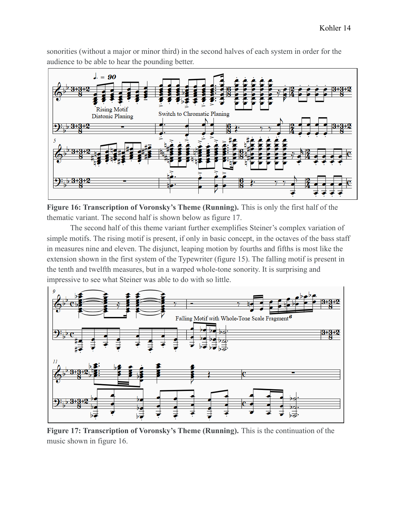sonorities (without a major or minor third) in the second halves of each system in order for the audience to be able to hear the pounding better.



**Figure 16: Transcription of Voronsky's Theme (Running).** This is only the first half of the thematic variant. The second half is shown below as figure 17.

The second half of this theme variant further exemplifies Steiner's complex variation of simple motifs. The rising motif is present, if only in basic concept, in the octaves of the bass staff in measures nine and eleven. The disjunct, leaping motion by fourths and fifths is most like the extension shown in the first system of the Typewriter (figure 15). The falling motif is present in the tenth and twelfth measures, but in a warped whole-tone sonority. It is surprising and impressive to see what Steiner was able to do with so little.



**Figure 17: Transcription of Voronsky's Theme (Running).** This is the continuation of the music shown in figure 16.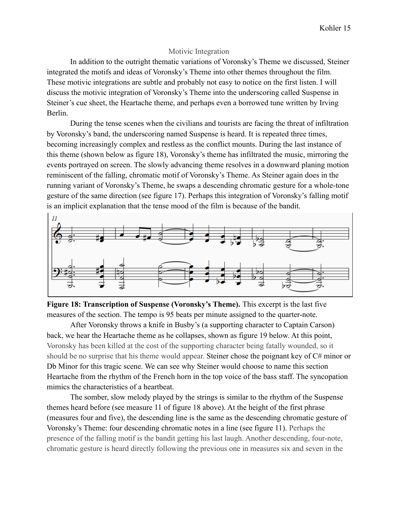#### Motivic Integration

In addition to the outright thematic variations of Voronsky's Theme we discussed, Steiner integrated the motifs and ideas of Voronsky's Theme into other themes throughout the film. These motivic integrations are subtle and probably not easy to notice on the first listen. I will discuss the motivic integration of Voronsky's Theme into the underscoring called Suspense in Steiner's cue sheet, the Heartache theme, and perhaps even a borrowed tune written by Irving Berlin.

During the tense scenes when the civilians and tourists are facing the threat of infiltration by Voronsky's band, the underscoring named Suspense is heard. It is repeated three times, becoming increasingly complex and restless as the conflict mounts. During the last instance of this theme (shown below as figure 18), Voronsky's theme has infiltrated the music, mirroring the events portrayed on screen. The slowly advancing theme resolves in a downward planing motion reminiscent of the falling, chromatic motif of Voronsky's Theme. As Steiner again does in the running variant of Voronsky's Theme, he swaps a descending chromatic gesture for a whole-tone gesture of the same direction (see figure 17). Perhaps this integration of Voronsky's falling motif is an implicit explanation that the tense mood of the film is because of the bandit.



**Figure 18: Transcription of Suspense (Voronsky's Theme).** This excerpt is the last five measures of the section. The tempo is 95 beats per minute assigned to the quarter-note.

After Voronsky throws a knife in Busby's (a supporting character to Captain Carson) back, we hear the Heartache theme as he collapses, shown as figure 19 below. At this point, Voronsky has been killed at the cost of the supporting character being fatally wounded, so it should be no surprise that his theme would appear. Steiner chose the poignant key of C# minor or Db Minor for this tragic scene. We can see why Steiner would choose to name this section Heartache from the rhythm of the French horn in the top voice of the bass staff. The syncopation mimics the characteristics of a heartbeat.

The somber, slow melody played by the strings is similar to the rhythm of the Suspense themes heard before (see measure 11 of figure 18 above). At the height of the first phrase (measures four and five), the descending line is the same as the descending chromatic gesture of Voronsky's Theme: four descending chromatic notes in a line (see figure 11). Perhaps the presence of the falling motif is the bandit getting his last laugh. Another descending, four-note, chromatic gesture is heard directly following the previous one in measures six and seven in the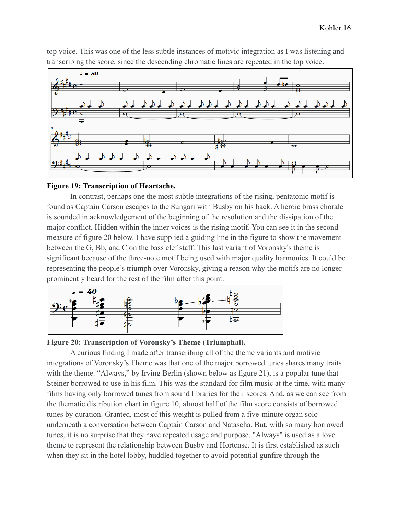top voice. This was one of the less subtle instances of motivic integration as I was listening and transcribing the score, since the descending chromatic lines are repeated in the top voice.



## **Figure 19: Transcription of Heartache.**

In contrast, perhaps one the most subtle integrations of the rising, pentatonic motif is found as Captain Carson escapes to the Sungari with Busby on his back. A heroic brass chorale is sounded in acknowledgement of the beginning of the resolution and the dissipation of the major conflict. Hidden within the inner voices is the rising motif. You can see it in the second measure of figure 20 below. I have supplied a guiding line in the figure to show the movement between the G, Bb, and C on the bass clef staff. This last variant of Voronsky's theme is significant because of the three-note motif being used with major quality harmonies. It could be representing the people's triumph over Voronsky, giving a reason why the motifs are no longer prominently heard for the rest of the film after this point.



**Figure 20: Transcription of Voronsky's Theme (Triumphal).**

A curious finding I made after transcribing all of the theme variants and motivic integrations of Voronsky's Theme was that one of the major borrowed tunes shares many traits with the theme. "Always," by Irving Berlin (shown below as figure 21), is a popular tune that Steiner borrowed to use in his film. This was the standard for film music at the time, with many films having only borrowed tunes from sound libraries for their scores. And, as we can see from the thematic distribution chart in figure 10, almost half of the film score consists of borrowed tunes by duration. Granted, most of this weight is pulled from a five-minute organ solo underneath a conversation between Captain Carson and Natascha. But, with so many borrowed tunes, it is no surprise that they have repeated usage and purpose. "Always" is used as a love theme to represent the relationship between Busby and Hortense. It is first established as such when they sit in the hotel lobby, huddled together to avoid potential gunfire through the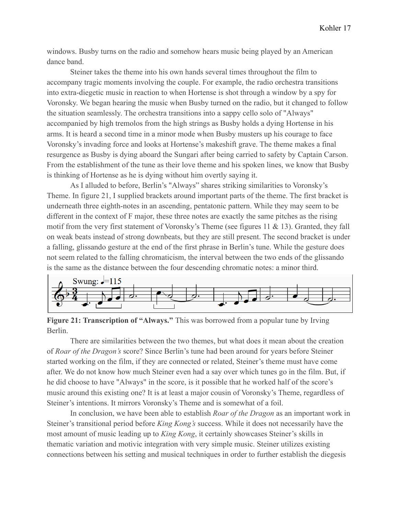windows. Busby turns on the radio and somehow hears music being played by an American dance band.

Steiner takes the theme into his own hands several times throughout the film to accompany tragic moments involving the couple. For example, the radio orchestra transitions into extra-diegetic music in reaction to when Hortense is shot through a window by a spy for Voronsky. We began hearing the music when Busby turned on the radio, but it changed to follow the situation seamlessly. The orchestra transitions into a sappy cello solo of "Always" accompanied by high tremolos from the high strings as Busby holds a dying Hortense in his arms. It is heard a second time in a minor mode when Busby musters up his courage to face Voronsky's invading force and looks at Hortense's makeshift grave. The theme makes a final resurgence as Busby is dying aboard the Sungari after being carried to safety by Captain Carson. From the establishment of the tune as their love theme and his spoken lines, we know that Busby is thinking of Hortense as he is dying without him overtly saying it.

As I alluded to before, Berlin's "Always" shares striking similarities to Voronsky's Theme. In figure 21, I supplied brackets around important parts of the theme. The first bracket is underneath three eighth-notes in an ascending, pentatonic pattern. While they may seem to be different in the context of F major, these three notes are exactly the same pitches as the rising motif from the very first statement of Voronsky's Theme (see figures 11 & 13). Granted, they fall on weak beats instead of strong downbeats, but they are still present. The second bracket is under a falling, glissando gesture at the end of the first phrase in Berlin's tune. While the gesture does not seem related to the falling chromaticism, the interval between the two ends of the glissando is the same as the distance between the four descending chromatic notes: a minor third.



**Figure 21: Transcription of "Always."** This was borrowed from a popular tune by Irving Berlin.

There are similarities between the two themes, but what does it mean about the creation of *Roar of the Dragon's* score? Since Berlin's tune had been around for years before Steiner started working on the film, if they are connected or related, Steiner's theme must have come after. We do not know how much Steiner even had a say over which tunes go in the film. But, if he did choose to have "Always" in the score, is it possible that he worked half of the score's music around this existing one? It is at least a major cousin of Voronsky's Theme, regardless of Steiner's intentions. It mirrors Voronsky's Theme and is somewhat of a foil.

In conclusion, we have been able to establish *Roar of the Dragon* as an important work in Steiner's transitional period before *King Kong's* success. While it does not necessarily have the most amount of music leading up to *King Kong*, it certainly showcases Steiner's skills in thematic variation and motivic integration with very simple music. Steiner utilizes existing connections between his setting and musical techniques in order to further establish the diegesis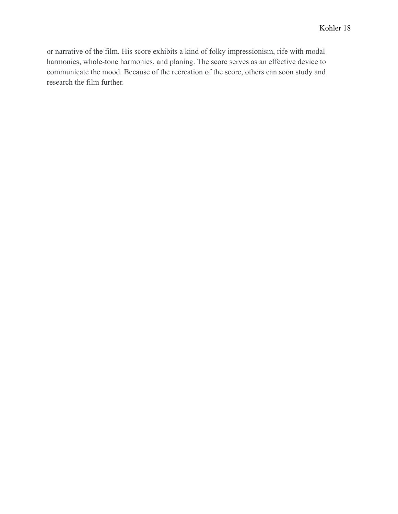or narrative of the film. His score exhibits a kind of folky impressionism, rife with modal harmonies, whole-tone harmonies, and planing. The score serves as an effective device to communicate the mood. Because of the recreation of the score, others can soon study and research the film further.